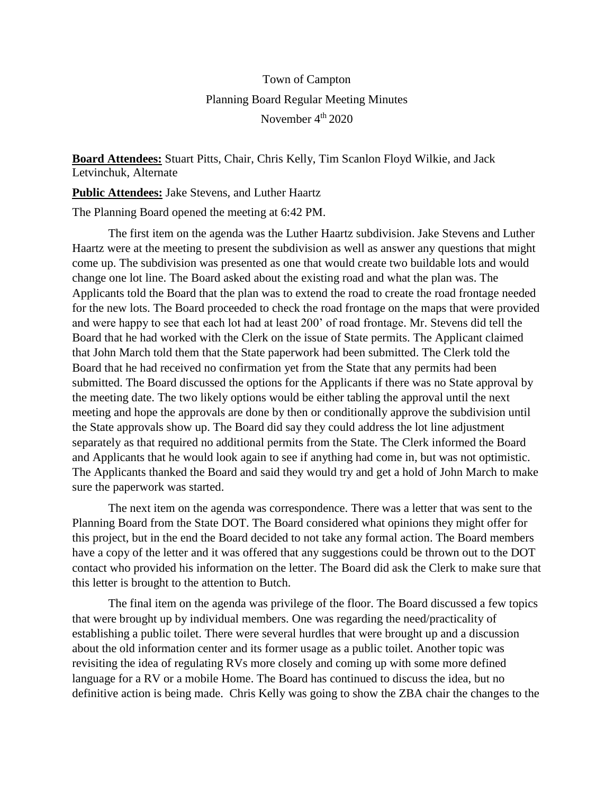## Town of Campton Planning Board Regular Meeting Minutes November 4<sup>th</sup> 2020

**Board Attendees:** Stuart Pitts, Chair, Chris Kelly, Tim Scanlon Floyd Wilkie, and Jack Letvinchuk, Alternate

**Public Attendees:** Jake Stevens, and Luther Haartz

The Planning Board opened the meeting at 6:42 PM.

The first item on the agenda was the Luther Haartz subdivision. Jake Stevens and Luther Haartz were at the meeting to present the subdivision as well as answer any questions that might come up. The subdivision was presented as one that would create two buildable lots and would change one lot line. The Board asked about the existing road and what the plan was. The Applicants told the Board that the plan was to extend the road to create the road frontage needed for the new lots. The Board proceeded to check the road frontage on the maps that were provided and were happy to see that each lot had at least 200' of road frontage. Mr. Stevens did tell the Board that he had worked with the Clerk on the issue of State permits. The Applicant claimed that John March told them that the State paperwork had been submitted. The Clerk told the Board that he had received no confirmation yet from the State that any permits had been submitted. The Board discussed the options for the Applicants if there was no State approval by the meeting date. The two likely options would be either tabling the approval until the next meeting and hope the approvals are done by then or conditionally approve the subdivision until the State approvals show up. The Board did say they could address the lot line adjustment separately as that required no additional permits from the State. The Clerk informed the Board and Applicants that he would look again to see if anything had come in, but was not optimistic. The Applicants thanked the Board and said they would try and get a hold of John March to make sure the paperwork was started.

The next item on the agenda was correspondence. There was a letter that was sent to the Planning Board from the State DOT. The Board considered what opinions they might offer for this project, but in the end the Board decided to not take any formal action. The Board members have a copy of the letter and it was offered that any suggestions could be thrown out to the DOT contact who provided his information on the letter. The Board did ask the Clerk to make sure that this letter is brought to the attention to Butch.

The final item on the agenda was privilege of the floor. The Board discussed a few topics that were brought up by individual members. One was regarding the need/practicality of establishing a public toilet. There were several hurdles that were brought up and a discussion about the old information center and its former usage as a public toilet. Another topic was revisiting the idea of regulating RVs more closely and coming up with some more defined language for a RV or a mobile Home. The Board has continued to discuss the idea, but no definitive action is being made. Chris Kelly was going to show the ZBA chair the changes to the